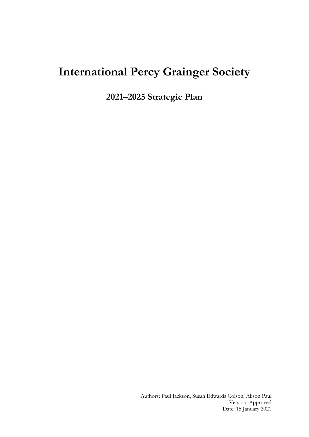# **International Percy Grainger Society**

**2021–2025 Strategic Plan**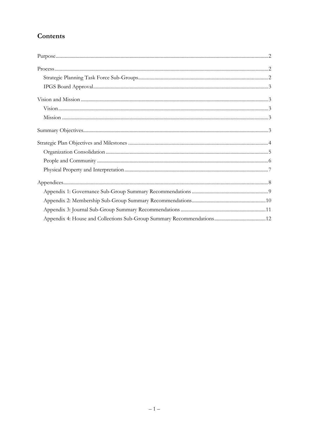# Contents

| $Process. 22$ |  |
|---------------|--|
|               |  |
|               |  |
|               |  |
|               |  |
|               |  |
|               |  |
|               |  |
|               |  |
|               |  |
|               |  |
|               |  |
|               |  |
|               |  |
|               |  |
|               |  |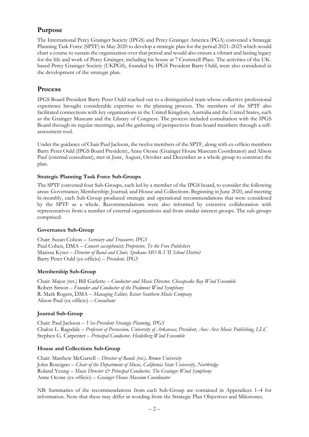# **Purpose**

The International Percy Grainger Society (IPGS) and Percy Grainger America (PGA) convened a Strategic Planning Task Force (SPTF) in May 2020 to develop a strategic plan for the period 2021–2025 which would chart a course to sustain the organization over that period and would also ensure a vibrant and lasting legacy for the life and work of Percy Grainger, including his house at 7 Cromwell Place. The activities of the UKbased Percy Grainger Society (UKPGS), founded by IPGS President Barry Ould, were also considered in the development of the strategic plan.

# **Process**

IPGS Board President Barry Peter Ould reached out to a distinguished team whose collective professional experience brought considerable expertise to the planning process. The members of the SPTF also facilitated connections with key organizations in the United Kingdom, Australia and the United States, such as the Grainger Museum and the Library of Congress. The process included consultation with the IPGS Board through its regular meetings, and the gathering of perspectives from board members through a selfassessment tool.

Under the guidance of Chair Paul Jackson, the twelve members of the SPTF, along with ex-officio members Barry Peter Ould (IPGS Board President), Anne Ocone (Grainger House Museum Coordinator) and Alison Paul (external consultant), met in June, August, October and December as a whole group to construct the plan.

# **Strategic Planning Task Force Sub-Groups**

The SPTF convened four Sub-Groups, each led by a member of the IPGS board, to consider the following areas: Governance; Membership; Journal; and House and Collections. Beginning in June 2020, and meeting bi-monthly, each Sub-Group produced strategic and operational recommendations that were considered by the SPTF as a whole. Recommendations were also informed by extensive collaboration with representatives from a number of external organizations and from similar interest groups. The sub-groups comprised:

# **Governance Sub-Group**

Chair: Susan Colson – *Secretary and Treasurer, IPGS* Paul Cohen, DMA – *Concert saxophonist; Proprietor, To the Fore Publishers* Marissa Kyser – *Director of Band and Choir, Spokane MO R-VII School District* Barry Peter Ould (ex officio) – *President, IPGS*

# **Membership Sub-Group**

Chair: Major (ret.) Bill Garlette – *Conductor and Music Director, Chesapeake Bay Wind Ensemble* Robert Simon – *Founder and Conductor of the Piedmont Wind Symphony* R. Mark Rogers, DMA – *Managing Editor, Keiser Southern Music Company* Alison Paul (ex officio) – *Consultant*

# **Journal Sub-Group**

Chair: Paul Jackson – *Vice-President Strategic Planning, IPGS* Chalon L. Ragsdale – *Professor of Percussion, University of Arkansas; President, Aux Arcs Music Publishing, LLC* Stephen G. Carpenter – *Principal Conductor, Heidelberg Wind Ensemble*

# **House and Collections Sub-Group**

Chair: Matthew McGarrell – *Director of Bands (ret.), Brown University* John Roscigno – *Chair of the Department of Music, California State University, Northridge* Roland Yeung – *Music Director & Principal Conductor*, The Grainger Wind Symphony Anne Ocone (ex officio) – *Grainger House Museum Coordinator*

NB: Summaries of the recommendations from each Sub-Group are contained in Appendices 1–4 for information. Note that these may differ in wording from the Strategic Plan Objectives and Milestones.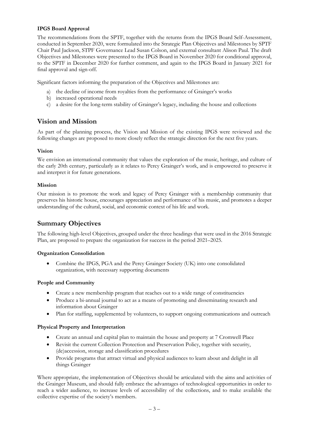# **IPGS Board Approval**

The recommendations from the SPTF, together with the returns from the IPGS Board Self-Assessment, conducted in September 2020, were formulated into the Strategic Plan Objectives and Milestones by SPTF Chair Paul Jackson, STPF Governance Lead Susan Colson, and external consultant Alison Paul. The draft Objectives and Milestones were presented to the IPGS Board in November 2020 for conditional approval, to the SPTF in December 2020 for further comment, and again to the IPGS Board in January 2021 for final approval and sign-off.

Significant factors informing the preparation of the Objectives and Milestones are:

- a) the decline of income from royalties from the performance of Grainger's works
- b) increased operational needs
- c) a desire for the long-term stability of Grainger's legacy, including the house and collections

# **Vision and Mission**

As part of the planning process, the Vision and Mission of the existing IPGS were reviewed and the following changes are proposed to more closely reflect the strategic direction for the next five years.

## **Vision**

We envision an international community that values the exploration of the music, heritage, and culture of the early 20th century, particularly as it relates to Percy Grainger's work, and is empowered to preserve it and interpret it for future generations.

## **Mission**

Our mission is to promote the work and legacy of Percy Grainger with a membership community that preserves his historic house, encourages appreciation and performance of his music, and promotes a deeper understanding of the cultural, social, and economic context of his life and work.

# **Summary Objectives**

The following high-level Objectives, grouped under the three headings that were used in the 2016 Strategic Plan, are proposed to prepare the organization for success in the period 2021–2025.

# **Organization Consolidation**

• Combine the IPGS, PGA and the Percy Grainger Society (UK) into one consolidated organization, with necessary supporting documents

# **People and Community**

- Create a new membership program that reaches out to a wide range of constituencies
- Produce a bi-annual journal to act as a means of promoting and disseminating research and information about Grainger
- Plan for staffing, supplemented by volunteers, to support ongoing communications and outreach

# **Physical Property and Interpretation**

- Create an annual and capital plan to maintain the house and property at 7 Cromwell Place
- Revisit the current Collection Protection and Preservation Policy, together with security, (de)accession, storage and classification procedures
- Provide programs that attract virtual and physical audiences to learn about and delight in all things Grainger

Where appropriate, the implementation of Objectives should be articulated with the aims and activities of the Grainger Museum, and should fully embrace the advantages of technological opportunities in order to reach a wider audience, to increase levels of accessibility of the collections, and to make available the collective expertise of the society's members.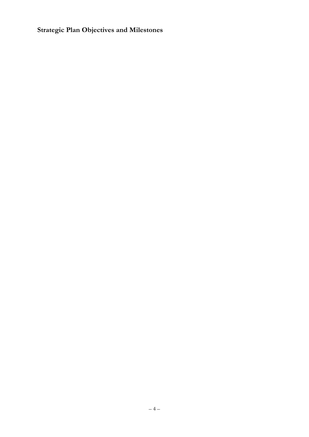**Strategic Plan Objectives and Milestones**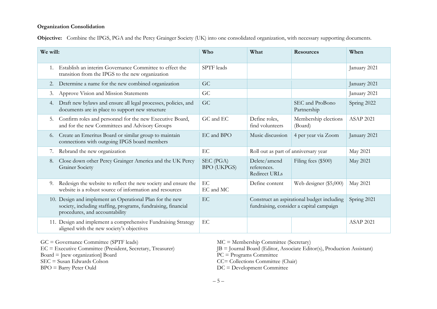#### **Organization Consolidation**

**Objective:** Combine the IPGS, PGA and the Percy Grainger Society (UK) into one consolidated organization, with necessary supporting documents.

| We will: |                                                                                                                                                             | Who                             | What                                         | <b>Resources</b>                                                                       | When             |
|----------|-------------------------------------------------------------------------------------------------------------------------------------------------------------|---------------------------------|----------------------------------------------|----------------------------------------------------------------------------------------|------------------|
| 1.       | Establish an interim Governance Committee to effect the<br>transition from the IPGS to the new organization                                                 | SPTF leads                      |                                              |                                                                                        | January 2021     |
| 2.       | Determine a name for the new combined organization                                                                                                          | GC                              |                                              |                                                                                        | January 2021     |
| 3.       | Approve Vision and Mission Statements                                                                                                                       | GC                              |                                              |                                                                                        | January 2021     |
| 4.       | Draft new bylaws and ensure all legal processes, policies, and<br>documents are in place to support new structure                                           | GC                              |                                              | SEC and ProBono<br>Partnership                                                         | Spring 2022      |
| 5.       | Confirm roles and personnel for the new Executive Board,<br>and for the new Committees and Advisory Groups                                                  | GC and EC                       | Define roles,<br>find volunteers             | Membership elections<br>(Board)                                                        | <b>ASAP 2021</b> |
| 6.       | Create an Emeritus Board or similar group to maintain<br>connections with outgoing IPGS board members                                                       | EC and BPO                      | Music discussion                             | 4 per year via Zoom                                                                    | January 2021     |
| 7.       | Rebrand the new organization                                                                                                                                | EC                              | Roll out as part of anniversary year         |                                                                                        | May 2021         |
| 8.       | Close down other Percy Grainger America and the UK Percy<br><b>Grainer Society</b>                                                                          | SEC (PGA)<br><b>BPO</b> (UKPGS) | Delete/amend<br>references.<br>Redirect URLs | Filing fees (\$500)                                                                    | May 2021         |
| 9.       | Redesign the website to reflect the new society and ensure the<br>website is a robust source of information and resources                                   | EC<br>EC and MC                 | Define content                               | Web designer (\$5,000)                                                                 | May 2021         |
|          | 10. Design and implement an Operational Plan for the new<br>society, including staffing, programs, fundraising, financial<br>procedures, and accountability | EC                              |                                              | Construct an aspirational budget including<br>fundraising, consider a capital campaign | Spring 2021      |
|          | 11. Design and implement a comprehensive Fundraising Strategy<br>aligned with the new society's objectives                                                  | EC                              |                                              |                                                                                        | <b>ASAP 2021</b> |

GC = Governance Committee (SPTF leads)

EC = Executive Committee (President, Secretary, Treasurer) Board  $=$  [new organization] Board

SEC = Susan Edwards Colson

BPO = Barry Peter Ould

MC = Membership Committee (Secretary)

JB = Journal Board (Editor, Associate Editor(s), Production Assistant)

PC = Programs Committee

CC= Collections Committee (Chair)

DC = Development Committee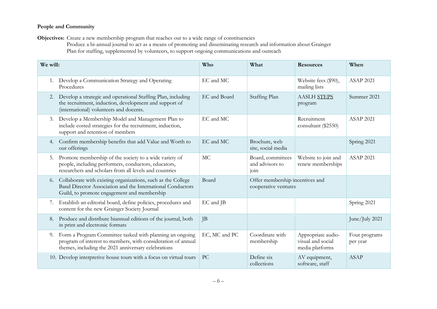# **People and Community**

**Objectives:** Create a new membership program that reaches out to a wide range of constituencies

Produce a bi-annual journal to act as a means of promoting and disseminating research and information about Grainger Plan for staffing, supplemented by volunteers, to support ongoing communications and outreach

| We will: | Who<br>What<br><b>Resources</b>                                                                                                                                                 |               |                                                         | When                                                       |                           |
|----------|---------------------------------------------------------------------------------------------------------------------------------------------------------------------------------|---------------|---------------------------------------------------------|------------------------------------------------------------|---------------------------|
| 1.       | Develop a Communication Strategy and Operating<br>Procedures                                                                                                                    | EC and MC     |                                                         | Website fees (\$90),<br>mailing lists                      | <b>ASAP 2021</b>          |
| 2.       | Develop a strategic and operational Staffing Plan, including<br>the recruitment, induction, development and support of<br>(international) volunteers and docents.               | EC and Board  | Staffing Plan                                           | <b>AASLH STEPS</b><br>program                              | Summer 2021               |
| 3.       | Develop a Membership Model and Management Plan to<br>include costed strategies for the recruitment, induction,<br>support and retention of members                              | EC and MC     |                                                         | Recruitment<br>consultant (\$2550)                         | <b>ASAP 2021</b>          |
| 4.       | Confirm membership benefits that add Value and Worth to<br>our offerings                                                                                                        | EC and MC     | Brochure, web<br>site, social media                     |                                                            | Spring 2021               |
| 5.       | Promote membership of the society to a wide variety of<br>people, including performers, conductors, educators,<br>researchers and scholars from all levels and countries        | <b>MC</b>     | Board, committees<br>and advisors to<br>10111           | Website to join and<br>renew memberships                   | <b>ASAP 2021</b>          |
| 6.       | Collaborate with existing organizations, such as the College<br>Band Director Association and the International Conductors<br>Guild, to promote engagement and membership       | Board         | Offer membership incentives and<br>cooperative ventures |                                                            |                           |
| 7.       | Establish an editorial board, define policies, procedures and<br>content for the new Grainger Society Journal                                                                   | EC and JB     |                                                         |                                                            | Spring 2021               |
| 8.       | Produce and distribute biannual editions of the journal, both<br>in print and electronic formats                                                                                | JB            |                                                         |                                                            | June/July 2021            |
| 9.       | Form a Program Committee tasked with planning an ongoing<br>program of interest to members, with consideration of annual<br>themes, including the 2021 anniversary celebrations | EC, MC and PC | Coordinate with<br>membership                           | Appropriate audio-<br>visual and social<br>media platforms | Four programs<br>per year |
|          | 10. Develop interpretive house tours with a focus on virtual tours                                                                                                              | PC            | Define six<br>collections                               | AV equipment,<br>software, staff                           | <b>ASAP</b>               |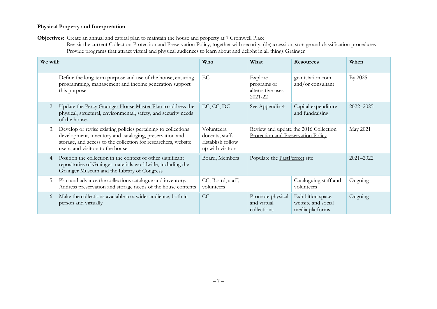# **Physical Property and Interpretation**

**Objectives:** Create an annual and capital plan to maintain the house and property at 7 Cromwell Place

Revisit the current Collection Protection and Preservation Policy, together with security, (de)accession, storage and classification procedures Provide programs that attract virtual and physical audiences to learn about and delight in all things Grainger

| We will: |                                                                                                                                                                                                                                | Who                                                                    | What                                                                        | <b>Resources</b>                                           | When          |
|----------|--------------------------------------------------------------------------------------------------------------------------------------------------------------------------------------------------------------------------------|------------------------------------------------------------------------|-----------------------------------------------------------------------------|------------------------------------------------------------|---------------|
|          | Define the long-term purpose and use of the house, ensuring<br>programming, management and income generation support<br>this purpose                                                                                           | EC                                                                     | Explore<br>programs or<br>alternative uses<br>2021-22                       | grantstation.com<br>and/or consultant                      | By 2025       |
| 2.       | Update the Percy Grainger House Master Plan to address the<br>physical, structural, environmental, safety, and security needs<br>of the house.                                                                                 | EC, CC, DC                                                             | See Appendix 4                                                              | Capital expenditure<br>and fundraising                     | $2022 - 2025$ |
| 3.       | Develop or revise existing policies pertaining to collections<br>development, inventory and cataloging, preservation and<br>storage, and access to the collection for researchers, website<br>users, and visitors to the house | Volunteers,<br>docents, staff.<br>Establish follow<br>up with visitors | Review and update the 2016 Collection<br>Protection and Preservation Policy |                                                            | May 2021      |
| 4.       | Position the collection in the context of other significant<br>repositories of Grainger materials worldwide, including the<br>Grainger Museum and the Library of Congress                                                      | Board, Members                                                         | Populate the PastPerfect site                                               |                                                            | $2021 - 2022$ |
| 5.       | Plan and advance the collections catalogue and inventory.<br>Address preservation and storage needs of the house contents                                                                                                      | CC, Board, staff,<br>volunteers                                        |                                                                             | Cataloguing staff and<br>volunteers                        | Ongoing       |
| 6.       | Make the collections available to a wider audience, both in<br>person and virtually                                                                                                                                            | CC                                                                     | Promote physical<br>and virtual<br>collections                              | Exhibition space,<br>website and social<br>media platforms | Ongoing       |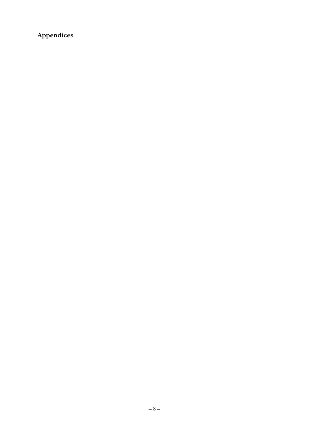Appendices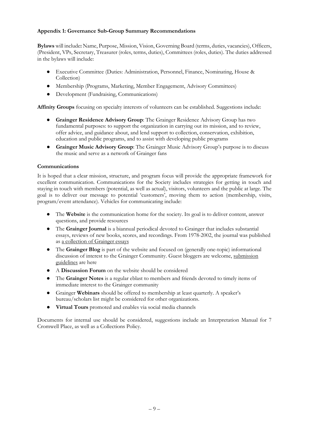# **Appendix 1: Governance Sub-Group Summary Recommendations**

**Bylaws** will include**:** Name, Purpose, Mission, Vision, Governing Board (terms, duties, vacancies), Officers, (President, VPs, Secretary, Treasurer (roles, terms, duties), Committees (roles, duties). The duties addressed in the bylaws will include:

- Executive Committee (Duties: Administration, Personnel, Finance, Nominating, House & Collection)
- Membership (Programs, Marketing, Member Engagement, Advisory Committees)
- Development (Fundraising, Communications)

**Affinity Groups** focusing on specialty interests of volunteers can be established. Suggestions include:

- **Grainger Residence Advisory Group**: The Grainger Residence Advisory Group has two fundamental purposes: to support the organization in carrying out its mission, and to review, offer advice, and guidance about, and lend support to collection, conservation, exhibition, education and public programs, and to assist with developing public programs
- **Grainger Music Advisory Group**: The Grainger Music Advisory Group's purpose is to discuss the music and serve as a network of Grainger fans

## **Communications**

It is hoped that a clear mission, structure, and program focus will provide the appropriate framework for excellent communication. Communications for the Society includes strategies for getting in touch and staying in touch with members (potential, as well as actual), visitors, volunteers and the public at large. The goal is to deliver our message to potential 'customers', moving them to action (membership, visits, program/event attendance). Vehicles for communicating include:

- The **Website** is the communication home for the society. Its goal is to deliver content, answer questions, and provide resources
- The **Grainger Journal** is a biannual periodical devoted to Grainger that includes substantial essays, reviews of new books, scores, and recordings. From 1978-2002, the journal was published as a collection of Grainger essays
- The **Grainger Blog** is part of the website and focused on (generally one-topic) informational discussion of interest to the Grainger Community. Guest bloggers are welcome, submission guidelines are here
- A **Discussion Forum** on the website should be considered
- The **Grainger Notes** is a regular eblast to members and friends devoted to timely items of immediate interest to the Grainger community
- Grainger **Webinars** should be offered to membership at least quarterly. A speaker's bureau/scholars list might be considered for other organizations.
- **Virtual Tours** promoted and enables via social media channels

Documents for internal use should be considered, suggestions include an Interpretation Manual for 7 Cromwell Place, as well as a Collections Policy.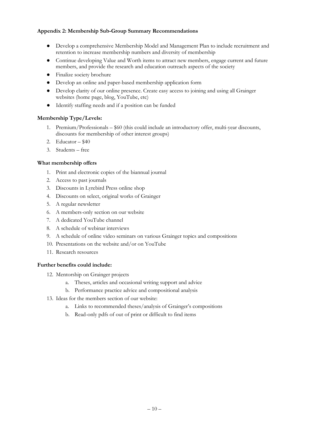# **Appendix 2: Membership Sub-Group Summary Recommendations**

- Develop a comprehensive Membership Model and Management Plan to include recruitment and retention to increase membership numbers and diversity of membership
- Continue developing Value and Worth items to attract new members, engage current and future members, and provide the research and education outreach aspects of the society
- Finalize society brochure
- Develop an online and paper-based membership application form
- Develop clarity of our online presence. Create easy access to joining and using all Grainger websites (home page, blog, YouTube, etc)
- Identify staffing needs and if a position can be funded

#### **Membership Type/Levels:**

- 1. Premium/Professionals \$60 (this could include an introductory offer, multi-year discounts, discounts for membership of other interest groups)
- 2. Educator \$40
- 3. Students free

#### **What membership offers**

- 1. Print and electronic copies of the biannual journal
- 2. Access to past journals
- 3. Discounts in Lyrebird Press online shop
- 4. Discounts on select, original works of Grainger
- 5. A regular newsletter
- 6. A members-only section on our website
- 7. A dedicated YouTube channel
- 8. A schedule of webinar interviews
- 9. A schedule of online video seminars on various Grainger topics and compositions
- 10. Presentations on the website and/or on YouTube
- 11. Research resources

#### **Further benefits could include:**

- 12. Mentorship on Grainger projects
	- a. Theses, articles and occasional writing support and advice
	- b. Performance practice advice and compositional analysis
- 13. Ideas for the members section of our website:
	- a. Links to recommended theses/analysis of Grainger's compositions
	- b. Read-only pdfs of out of print or difficult to find items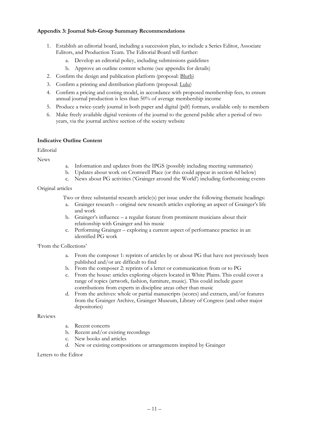## **Appendix 3: Journal Sub-Group Summary Recommendations**

- 1. Establish an editorial board, including a succession plan, to include a Series Editor, Associate Editors, and Production Team. The Editorial Board will further:
	- a. Develop an editorial policy, including submissions guidelines
	- b. Approve an outline content scheme (see appendix for details)
- 2. Confirm the design and publication platform (proposal: Blurb)
- 3. Confirm a printing and distribution platform (proposal: Lulu)
- 4. Confirm a pricing and costing model, in accordance with proposed membership fees, to ensure annual journal production is less than 50% of average membership income
- 5. Produce a twice-yearly journal in both paper and digital (pdf) formats, available only to members
- 6. Make freely available digital versions of the journal to the general public after a period of two years, via the journal archive section of the society website

#### **Indicative Outline Content**

Editorial

News

- a. Information and updates from the IPGS (possibly including meeting summaries)
- b. Updates about work on Cromwell Place (or this could appear in section 4d below)
- c. News about PG activities ('Grainger around the World') including forthcoming events

## Original articles

Two or three substantial research article(s) per issue under the following thematic headings:

- a. Grainger research original new research articles exploring an aspect of Grainger's life and work
- b. Grainger's influence a regular feature from prominent musicians about their relationship with Grainger and his music
- c. Performing Grainger exploring a current aspect of performance practice in an identified PG work

'From the Collections'

- a. From the composer 1: reprints of articles by or about PG that have not previously been published and/or are difficult to find
- b. From the composer 2: reprints of a letter or communication from or to PG
- c. From the house: articles exploring objects located in White Plains. This could cover a range of topics (artwork, fashion, furniture, music). This could include guest contributions from experts in discipline areas other than music
- d. From the archives: whole or partial manuscripts (scores) and extracts, and/or features from the Grainger Archive, Grainger Museum, Library of Congress (and other major depositories)

Reviews

- a. Recent concerts
- b. Recent and/or existing recordings
- c. New books and articles
- d. New or existing compositions or arrangements inspired by Grainger

Letters to the Editor